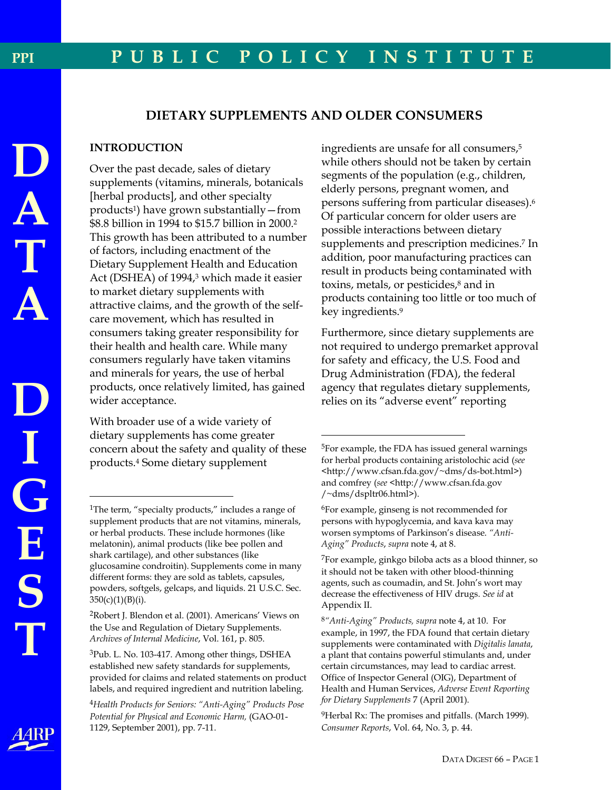# **DIETARY SUPPLEMENTS AND OLDER CONSUMERS**

# **INTRODUCTION**

Over the past decade, sales of dietary supplements (vitamins, minerals, botanicals [herbal products], and other specialty products<sup>1</sup>) have grown substantially - from \$8.8 billion in 1994 to \$15.7 billion in 2000.<sup>2</sup> This growth has been attributed to a number of factors, including enactment of the Dietary Supplement Health and Education Act (DSHEA) of 1994,<sup>3</sup> which made it easier to market dietary supplements with attractive claims, and the growth of the selfcare movement, which has resulted in consumers taking greater responsibility for their health and health care. While many consumers regularly have taken vitamins and minerals for years, the use of herbal products, once relatively limited, has gained wider acceptance.

With broader use of a wide variety of dietary supplements has come greater concern about the safety and quality of these products.<sup>4</sup> Some dietary supplement

<sup>2</sup>Robert J. Blendon et al. (2001). Americans' Views on the Use and Regulation of Dietary Supplements. Archives of Internal Medicine, Vol. 161, p. 805.

<sup>4</sup>Health Products for Seniors: "Anti-Aging" Products Pose Potential for Physical and Economic Harm, (GAO-01-1129, September 2001), pp. 7-11.

ingredients are unsafe for all consumers,<sup>5</sup> while others should not be taken by certain segments of the population (e.g., children, elderly persons, pregnant women, and persons suffering from particular diseases).<sup>6</sup> Of particular concern for older users are possible interactions between dietary supplements and prescription medicines.<sup>7</sup> In addition, poor manufacturing practices can result in products being contaminated with toxins, metals, or pesticides,<sup>8</sup> and in products containing too little or too much of key ingredients.<sup>9</sup>

Furthermore, since dietary supplements are not required to undergo premarket approval for safety and efficacy, the U.S. Food and Drug Administration (FDA), the federal agency that regulates dietary supplements, relies on its "adverse event" reporting

**PPI** 

I<br>G<br>E

S

<sup>&</sup>lt;sup>1</sup>The term, "specialty products," includes a range of supplement products that are not vitamins, minerals, or herbal products. These include hormones (like melatonin), animal products (like bee pollen and shark cartilage), and other substances (like glucosamine condroitin). Supplements come in many different forms: they are sold as tablets, capsules, powders, softgels, gelcaps, and liquids. 21 U.S.C. Sec.  $350(c)(1)(B)(i).$ 

<sup>&</sup>lt;sup>3</sup>Pub. L. No. 103-417. Among other things, DSHEA established new safety standards for supplements, provided for claims and related statements on product labels, and required ingredient and nutrition labeling.

<sup>&</sup>lt;sup>5</sup>For example, the FDA has issued general warnings for herbal products containing aristolochic acid (see <http://www.cfsan.fda.gov/~dms/ds-bot.html>) and comfrey (see <http://www.cfsan.fda.gov /~dms/dspltr06.html>).

<sup>&</sup>lt;sup>6</sup>For example, ginseng is not recommended for persons with hypoglycemia, and kava kava may worsen symptoms of Parkinson's disease. "Anti-Aging" Products, supra note 4, at 8.

<sup>&</sup>lt;sup>7</sup>For example, ginkgo biloba acts as a blood thinner, so it should not be taken with other blood-thinning agents, such as coumadin, and St. John's wort may decrease the effectiveness of HIV drugs. See id at Appendix II.

<sup>&</sup>lt;sup>8</sup>"Anti-Aging" Products, supra note 4, at 10. For example, in 1997, the FDA found that certain dietary supplements were contaminated with Digitalis lanata, a plant that contains powerful stimulants and, under certain circumstances, may lead to cardiac arrest. Office of Inspector General (OIG), Department of Health and Human Services, Adverse Event Reporting for Dietary Supplements 7 (April 2001).

<sup>&</sup>lt;sup>9</sup>Herbal Rx: The promises and pitfalls. (March 1999). Consumer Reports, Vol. 64, No. 3, p. 44.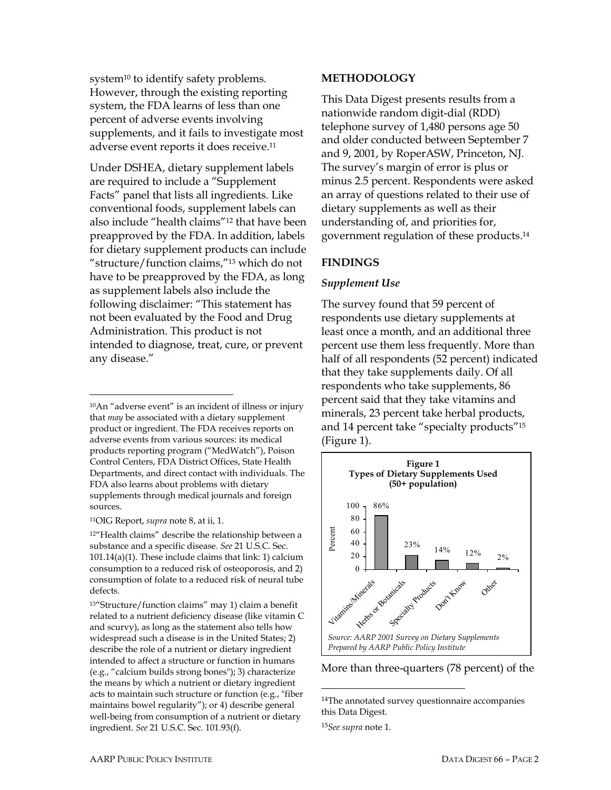system<sup>10</sup> to identify safety problems. However, through the existing reporting system, the FDA learns of less than one percent of adverse events involving supplements, and it fails to investigate most adverse event reports it does receive.<sup>11</sup>

Under DSHEA, dietary supplement labels are required to include a "Supplement Facts" panel that lists all ingredients. Like conventional foods, supplement labels can also include "health claims"<sup>12</sup> that have been preapproved by the FDA. In addition, labels for dietary supplement products can include "structure/function claims,"<sup>13</sup> which do not have to be preapproved by the FDA, as long as supplement labels also include the following disclaimer: "This statement has not been evaluated by the Food and Drug Administration. This product is not intended to diagnose, treat, cure, or prevent any disease."

<sup>10</sup>An "adverse event" is an incident of illness or injury that may be associated with a dietary supplement product or ingredient. The FDA receives reports on adverse events from various sources: its medical products reporting program ("MedWatch"), Poison Control Centers, FDA District Offices, State Health Departments, and direct contact with individuals. The FDA also learns about problems with dietary supplements through medical journals and foreign sources.

<sup>11</sup>OIG Report, *supra* note 8, at ii, 1.

<sup>12"</sup>Health claims" describe the relationship between a substance and a specific disease. See 21 U.S.C. Sec.  $101.14(a)(1)$ . These include claims that link: 1) calcium consumption to a reduced risk of osteoporosis, and 2) consumption of folate to a reduced risk of neural tube defects.

<sup>13"</sup>Structure/function claims" may 1) claim a benefit related to a nutrient deficiency disease (like vitamin C and scurvy), as long as the statement also tells how widespread such a disease is in the United States; 2) describe the role of a nutrient or dietary ingredient intended to affect a structure or function in humans (e.g., "calcium builds strong bones"); 3) characterize the means by which a nutrient or dietary ingredient acts to maintain such structure or function (e.g., "fiber maintains bowel regularity"); or 4) describe general well-being from consumption of a nutrient or dietary ingredient. See 21 U.S.C. Sec. 101.93(f).

### **METHODOLOGY**

This Data Digest presents results from a nationwide random digit-dial (RDD) telephone survey of 1,480 persons age 50 and older conducted between September 7 and 9, 2001, by RoperASW, Princeton, NJ. The survey's margin of error is plus or minus 2.5 percent. Respondents were asked an array of questions related to their use of dietary supplements as well as their understanding of, and priorities for, government regulation of these products.<sup>14</sup>

## **FINDINGS**

## **Supplement Use**

The survey found that 59 percent of respondents use dietary supplements at least once a month, and an additional three percent use them less frequently. More than half of all respondents (52 percent) indicated that they take supplements daily. Of all respondents who take supplements, 86 percent said that they take vitamins and minerals, 23 percent take herbal products, and 14 percent take "specialty products"<sup>15</sup> (Figure 1).



More than three-quarters (78 percent) of the

<sup>&</sup>lt;sup>14</sup>The annotated survey questionnaire accompanies this Data Digest.

<sup>&</sup>lt;sup>15</sup>See supra note 1.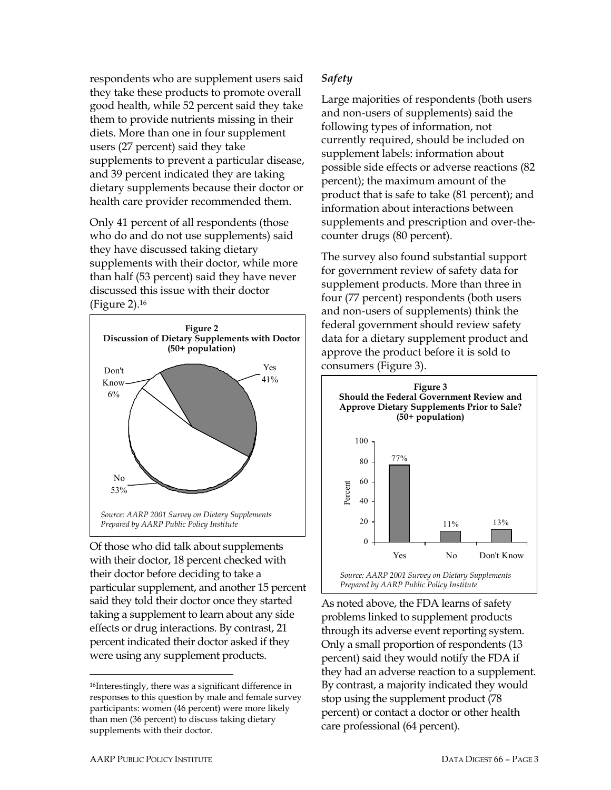respondents who are supplement users said they take these products to promote overall good health, while 52 percent said they take them to provide nutrients missing in their diets. More than one in four supplement users (27 percent) said they take supplements to prevent a particular disease, and 39 percent indicated they are taking dietary supplements because their doctor or health care provider recommended them.

Only 41 percent of all respondents (those who do and do not use supplements) said they have discussed taking dietary supplements with their doctor, while more than half (53 percent) said they have never discussed this issue with their doctor (Figure 2).16



Of those who did talk about supplements with their doctor, 18 percent checked with their doctor before deciding to take a particular supplement, and another 15 percent said they told their doctor once they started taking a supplement to learn about any side effects or drug interactions. By contrast, 21 percent indicated their doctor asked if they were using any supplement products.

# *Safety*

Large majorities of respondents (both users and non-users of supplements) said the following types of information, not currently required, should be included on supplement labels: information about possible side effects or adverse reactions (82 percent); the maximum amount of the product that is safe to take (81 percent); and information about interactions between supplements and prescription and over-thecounter drugs (80 percent).

The survey also found substantial support for government review of safety data for supplement products. More than three in four (77 percent) respondents (both users and non-users of supplements) think the federal government should review safety data for a dietary supplement product and approve the product before it is sold to consumers (Figure 3).



As noted above, the FDA learns of safety problems linked to supplement products through its adverse event reporting system. Only a small proportion of respondents (13 percent) said they would notify the FDA if they had an adverse reaction to a supplement. By contrast, a majority indicated they would stop using the supplement product (78 percent) or contact a doctor or other health care professional (64 percent).

 $\overline{a}$ 

<sup>16</sup>Interestingly, there was a significant difference in responses to this question by male and female survey participants: women (46 percent) were more likely than men (36 percent) to discuss taking dietary supplements with their doctor.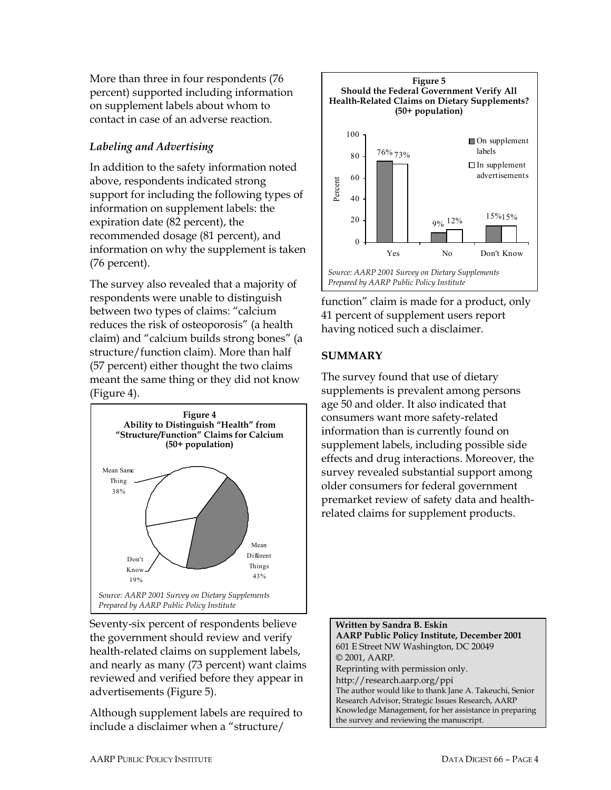More than three in four respondents (76 percent) supported including information on supplement labels about whom to contact in case of an adverse reaction.

# *Labeling and Advertising*

In addition to the safety information noted above, respondents indicated strong support for including the following types of information on supplement labels: the expiration date (82 percent), the recommended dosage (81 percent), and information on why the supplement is taken (76 percent).

The survey also revealed that a majority of respondents were unable to distinguish between two types of claims: "calcium reduces the risk of osteoporosis" (a health claim) and "calcium builds strong bones" (a structure/function claim). More than half (57 percent) either thought the two claims meant the same thing or they did not know (Figure 4).



Seventy-six percent of respondents believe the government should review and verify health-related claims on supplement labels, and nearly as many (73 percent) want claims reviewed and verified before they appear in advertisements (Figure 5).

Although supplement labels are required to include a disclaimer when a "structure/



function" claim is made for a product, only 41 percent of supplement users report having noticed such a disclaimer.

# **SUMMARY**

The survey found that use of dietary supplements is prevalent among persons age 50 and older. It also indicated that consumers want more safety-related information than is currently found on supplement labels, including possible side effects and drug interactions. Moreover, the survey revealed substantial support among older consumers for federal government premarket review of safety data and healthrelated claims for supplement products.

**Written by Sandra B. Eskin AARP Public Policy Institute, December 2001**  601 E Street NW Washington, DC 20049 © 2001, AARP. Reprinting with permission only. http://research.aarp.org/ppi The author would like to thank Jane A. Takeuchi, Senior Research Advisor, Strategic Issues Research, AARP Knowledge Management, for her assistance in preparing the survey and reviewing the manuscript.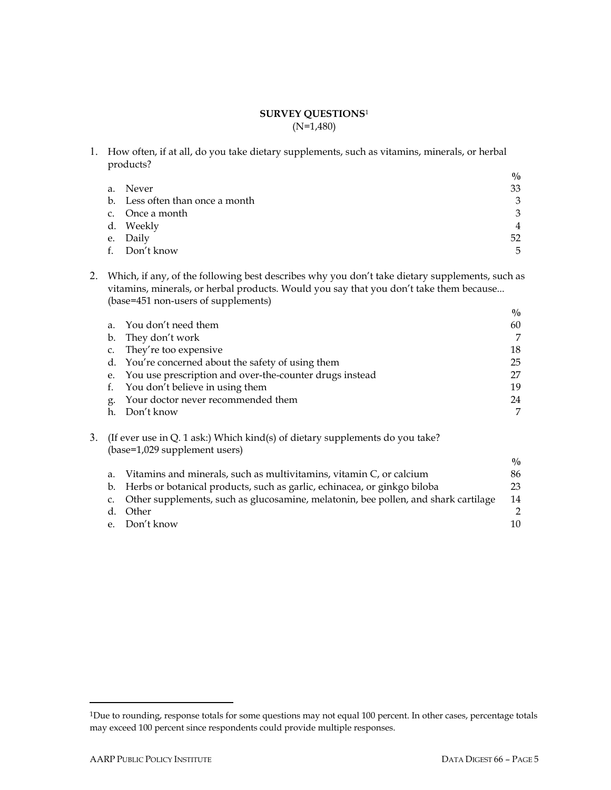### **SURVEY QUESTIONS**<sup>1</sup> (N=1,480)

1. How often, if at all, do you take dietary supplements, such as vitamins, minerals, or herbal products?

|    |                                 | $\frac{0}{0}$ |
|----|---------------------------------|---------------|
|    | a. Never                        | 33            |
|    | b. Less often than once a month | 3             |
|    | c. Once a month                 | 3             |
|    | d. Weekly                       | 4             |
|    | e. Daily                        | 52            |
| f. | Don't know                      | 5             |

2. Which, if any, of the following best describes why you don't take dietary supplements, such as vitamins, minerals, or herbal products. Would you say that you don't take them because... (base=451 non-users of supplements)

|    |                                                                                                               | $\frac{0}{0}$ |
|----|---------------------------------------------------------------------------------------------------------------|---------------|
|    | a. You don't need them                                                                                        | 60            |
| b. | They don't work                                                                                               | 7             |
| C. | They're too expensive                                                                                         | 18            |
|    | d. You're concerned about the safety of using them                                                            | 25            |
|    | e. You use prescription and over-the-counter drugs instead                                                    | 27            |
|    | You don't believe in using them                                                                               | 19            |
| g. | Your doctor never recommended them                                                                            | 24            |
| h. | Don't know                                                                                                    | 7             |
|    | (If ever use in Q. 1 ask:) Which kind(s) of dietary supplements do you take?<br>(base=1,029 supplement users) |               |
|    |                                                                                                               | $\frac{0}{0}$ |
|    |                                                                                                               |               |

| a. | Vitamins and minerals, such as multivitamins, vitamin C, or calcium                   | 86  |
|----|---------------------------------------------------------------------------------------|-----|
|    | b. Herbs or botanical products, such as garlic, echinacea, or ginkgo biloba           | 23. |
|    | c. Other supplements, such as glucosamine, melatonin, bee pollen, and shark cartilage | 14  |
|    | d. Other                                                                              |     |
|    | e. Don't know                                                                         | 10  |
|    |                                                                                       |     |

 $\overline{a}$ 

<sup>&</sup>lt;sup>1</sup>Due to rounding, response totals for some questions may not equal 100 percent. In other cases, percentage totals may exceed 100 percent since respondents could provide multiple responses.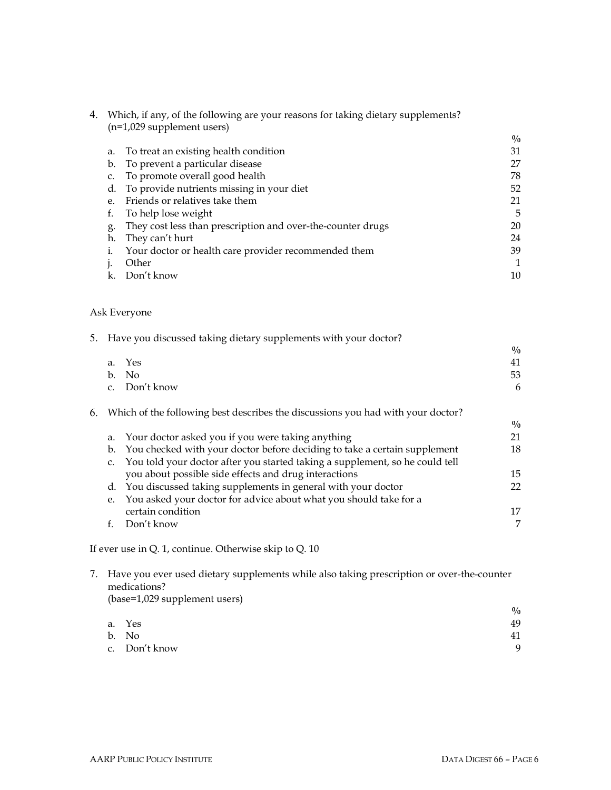| 4. |    | Which, if any, of the following are your reasons for taking dietary supplements?<br>$(n=1,029$ supplement users) |               |  |
|----|----|------------------------------------------------------------------------------------------------------------------|---------------|--|
|    |    |                                                                                                                  | $\frac{0}{0}$ |  |
|    | a. | To treat an existing health condition                                                                            | 31            |  |
|    | b. | To prevent a particular disease                                                                                  | 27            |  |
|    | C. | To promote overall good health                                                                                   | 78            |  |
|    | d. | To provide nutrients missing in your diet                                                                        | 52            |  |
|    | е. | Friends or relatives take them                                                                                   | 21            |  |
|    | f. | To help lose weight                                                                                              | 5             |  |
|    | g. | They cost less than prescription and over-the-counter drugs                                                      | 20            |  |
|    | h. | They can't hurt                                                                                                  | 24            |  |
|    | 1. | Your doctor or health care provider recommended them                                                             | 39            |  |
|    |    | Other                                                                                                            |               |  |
|    |    | Don't know                                                                                                       | 10            |  |
|    |    |                                                                                                                  |               |  |

# Ask Everyone

|    |             | 5. Have you discussed taking dietary supplements with your doctor?              |               |
|----|-------------|---------------------------------------------------------------------------------|---------------|
|    |             |                                                                                 | $\frac{0}{0}$ |
|    |             | a. Yes                                                                          | 41            |
|    |             | b. No                                                                           | 53            |
|    |             | c. Don't know                                                                   | 6             |
| 6. |             | Which of the following best describes the discussions you had with your doctor? |               |
|    |             |                                                                                 | $\frac{0}{0}$ |
|    |             | a. Your doctor asked you if you were taking anything                            | 21            |
|    | b.          | You checked with your doctor before deciding to take a certain supplement       | 18            |
|    | $C_{\star}$ | You told your doctor after you started taking a supplement, so he could tell    |               |
|    |             | you about possible side effects and drug interactions                           | 15            |
|    |             | d. You discussed taking supplements in general with your doctor                 | 22            |
|    | e.          | You asked your doctor for advice about what you should take for a               |               |
|    |             | certain condition                                                               | 17            |
|    |             | Don't know                                                                      | 7             |
|    |             |                                                                                 |               |

If ever use in Q. 1, continue. Otherwise skip to Q. 10

| Have you ever used dietary supplements while also taking prescription or over-the-counter |
|-------------------------------------------------------------------------------------------|
| medications?                                                                              |
| (base=1,029 supplement users)                                                             |

|               | $\frac{0}{0}$ |
|---------------|---------------|
| a. Yes        | 49            |
| b. No         | 41            |
| c. Don't know | $\Omega$      |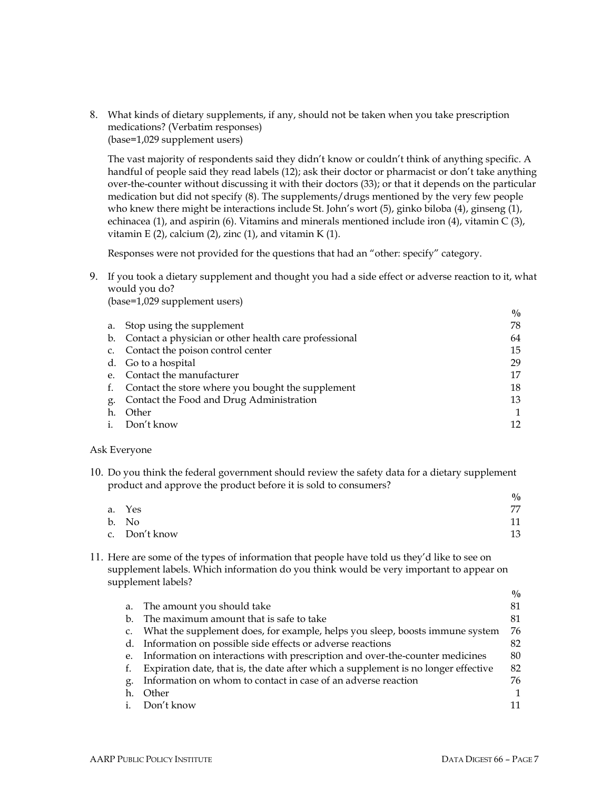8. What kinds of dietary supplements, if any, should not be taken when you take prescription medications? (Verbatim responses) (base=1,029 supplement users)

The vast majority of respondents said they didn't know or couldn't think of anything specific. A handful of people said they read labels (12); ask their doctor or pharmacist or don't take anything over-the-counter without discussing it with their doctors (33); or that it depends on the particular medication but did not specify (8). The supplements/drugs mentioned by the very few people who knew there might be interactions include St. John's wort (5), ginko biloba (4), ginseng (1), echinacea (1), and aspirin (6). Vitamins and minerals mentioned include iron (4), vitamin C (3), vitamin E (2), calcium (2), zinc (1), and vitamin K (1).

Responses were not provided for the questions that had an "other: specify" category.

9. If you took a dietary supplement and thought you had a side effect or adverse reaction to it, what would you do?

(base=1,029 supplement users)

|                                                          | $\frac{0}{0}$ |
|----------------------------------------------------------|---------------|
| Stop using the supplement<br>а.                          | 78            |
| b. Contact a physician or other health care professional | 64            |
| c. Contact the poison control center                     | 15            |
| d. Go to a hospital                                      | 29            |
| e. Contact the manufacturer                              | 17            |
| f. Contact the store where you bought the supplement     | 18            |
| Contact the Food and Drug Administration                 | 13            |
| Other                                                    |               |
| i. Don't know                                            | 12            |
|                                                          |               |

#### Ask Everyone

10. Do you think the federal government should review the safety data for a dietary supplement product and approve the product before it is sold to consumers?

| .<br>. .      | $\frac{0}{0}$ |
|---------------|---------------|
| a. Yes        | 77            |
| b. No         | 11            |
| c. Don't know | 13            |

11. Here are some of the types of information that people have told us theyíd like to see on supplement labels. Which information do you think would be very important to appear on supplement labels?

|    |                                                                                    | $\frac{0}{0}$ |
|----|------------------------------------------------------------------------------------|---------------|
| a. | The amount you should take                                                         | 81            |
| b. | The maximum amount that is safe to take                                            | 81            |
| C. | What the supplement does, for example, helps you sleep, boosts immune system       | 76            |
| d. | Information on possible side effects or adverse reactions                          | 82            |
| e. | Information on interactions with prescription and over-the-counter medicines       | 80            |
| f. | Expiration date, that is, the date after which a supplement is no longer effective | 82            |
| g. | Information on whom to contact in case of an adverse reaction                      | 76            |
| h. | Other                                                                              | $\mathbf{1}$  |
|    | Don't know                                                                         | 11            |